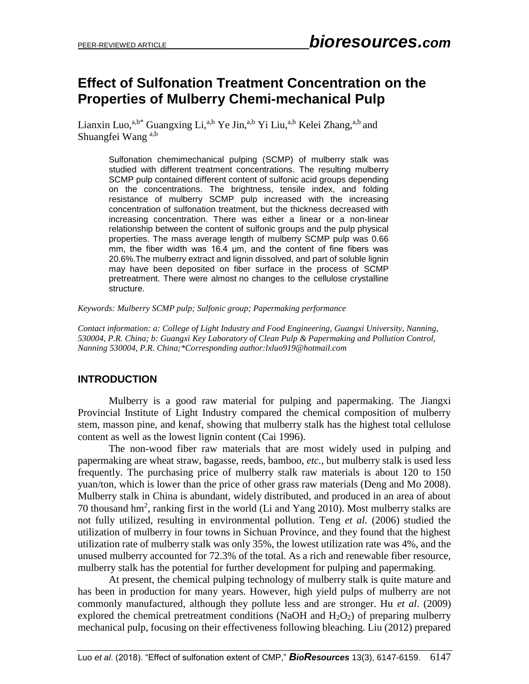# **Effect of Sulfonation Treatment Concentration on the Properties of Mulberry Chemi-mechanical Pulp**

Lianxin Luo,<sup>a,b\*</sup> Guangxing Li,<sup>a,b</sup> Ye Jin,<sup>a,b</sup> Yi Liu,<sup>a,b</sup> Kelei Zhang,<sup>a,b</sup> and Shuangfei Wang<sup>a,b</sup>

> Sulfonation chemimechanical pulping (SCMP) of mulberry stalk was studied with different treatment concentrations. The resulting mulberry SCMP pulp contained different content of sulfonic acid groups depending on the concentrations. The brightness, tensile index, and folding resistance of mulberry SCMP pulp increased with the increasing concentration of sulfonation treatment, but the thickness decreased with increasing concentration. There was either a linear or a non-linear relationship between the content of sulfonic groups and the pulp physical properties. The mass average length of mulberry SCMP pulp was 0.66 mm, the fiber width was 16.4 μm, and the content of fine fibers was 20.6%.The mulberry extract and lignin dissolved, and part of soluble lignin may have been deposited on fiber surface in the process of SCMP pretreatment. There were almost no changes to the cellulose crystalline structure.

*Keywords: Mulberry SCMP pulp; Sulfonic group; Papermaking performance*

*Contact information: a: College of Light Industry and Food Engineering, Guangxi University, Nanning, 530004, P.R. China; b: Guangxi Key Laboratory of Clean Pulp & Papermaking and Pollution Control, Nanning 530004, P.R. China;\*Corresponding author:lxluo919@hotmail.com*

#### **INTRODUCTION**

Mulberry is a good raw material for pulping and papermaking. The Jiangxi Provincial Institute of Light Industry compared the chemical composition of mulberry stem, masson pine, and kenaf, showing that mulberry stalk has the highest total cellulose content as well as the lowest lignin content (Cai 1996).

The non-wood fiber raw materials that are most widely used in pulping and papermaking are wheat straw, bagasse, reeds, bamboo, *etc.*, but mulberry stalk is used less frequently. The purchasing price of mulberry stalk raw materials is about 120 to 150 yuan/ton, which is lower than the price of other grass raw materials (Deng and Mo 2008). Mulberry stalk in China is abundant, widely distributed, and produced in an area of about 70 thousand hm<sup>2</sup>, ranking first in the world (Li and Yang 2010). Most mulberry stalks are not fully utilized, resulting in environmental pollution. Teng *et al*. (2006) studied the utilization of mulberry in four towns in Sichuan Province, and they found that the highest utilization rate of mulberry stalk was only 35%, the lowest utilization rate was 4%, and the unused mulberry accounted for 72.3% of the total. As a rich and renewable fiber resource, mulberry stalk has the potential for further development for pulping and papermaking.

At present, the chemical pulping technology of mulberry stalk is quite mature and has been in production for many years. However, high yield pulps of mulberry are not commonly manufactured, although they pollute less and are stronger. Hu *et al*. (2009) explored the chemical pretreatment conditions (NaOH and  $H_2O_2$ ) of preparing mulberry mechanical pulp, focusing on their effectiveness following bleaching. Liu (2012) prepared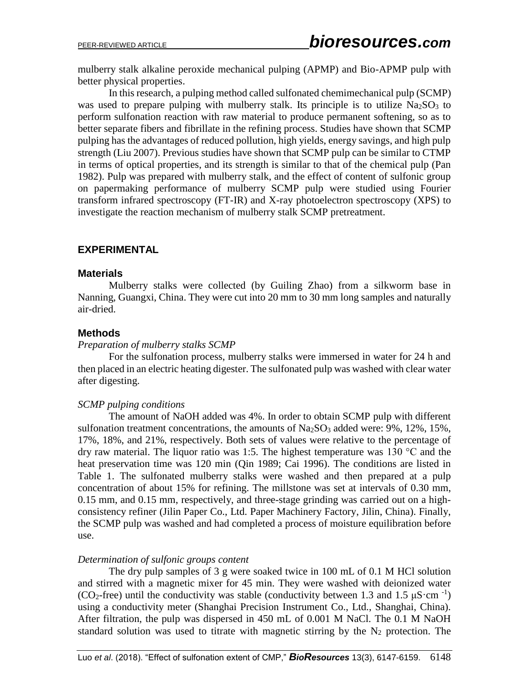mulberry stalk alkaline peroxide mechanical pulping (APMP) and Bio-APMP pulp with better physical properties.

In this research, a pulping method called sulfonated chemimechanical pulp (SCMP) was used to prepare pulping with mulberry stalk. Its principle is to utilize  $Na<sub>2</sub>SO<sub>3</sub>$  to perform sulfonation reaction with raw material to produce permanent softening, so as to better separate fibers and fibrillate in the refining process. Studies have shown that SCMP pulping has the advantages of reduced pollution, high yields, energy savings, and high pulp strength (Liu 2007). Previous studies have shown that SCMP pulp can be similar to CTMP in terms of optical properties, and its strength is similar to that of the chemical pulp (Pan 1982). Pulp was prepared with mulberry stalk, and the effect of content of sulfonic group on papermaking performance of mulberry SCMP pulp were studied using Fourier transform infrared spectroscopy (FT-IR) and X-ray photoelectron spectroscopy (XPS) to investigate the reaction mechanism of mulberry stalk SCMP pretreatment.

#### **EXPERIMENTAL**

#### **Materials**

Mulberry stalks were collected (by Guiling Zhao) from a silkworm base in Nanning, Guangxi, China. They were cut into 20 mm to 30 mm long samples and naturally air-dried.

#### **Methods**

#### *Preparation of mulberry stalks SCMP*

For the sulfonation process, mulberry stalks were immersed in water for 24 h and then placed in an electric heating digester. The sulfonated pulp was washed with clear water after digesting.

#### *SCMP pulping conditions*

The amount of NaOH added was 4%. In order to obtain SCMP pulp with different sulfonation treatment concentrations, the amounts of  $Na_2SO_3$  added were: 9%, 12%, 15%, 17%, 18%, and 21%, respectively. Both sets of values were relative to the percentage of dry raw material. The liquor ratio was 1:5. The highest temperature was  $130^{\circ}$ C and the heat preservation time was 120 min (Qin 1989; Cai 1996). The conditions are listed in Table 1. The sulfonated mulberry stalks were washed and then prepared at a pulp concentration of about 15% for refining. The millstone was set at intervals of 0.30 mm, 0.15 mm, and 0.15 mm, respectively, and three-stage grinding was carried out on a highconsistency refiner (Jilin Paper Co., Ltd. Paper Machinery Factory, Jilin, China). Finally, the SCMP pulp was washed and had completed a process of moisture equilibration before use.

#### *Determination of sulfonic groups content*

The dry pulp samples of 3 g were soaked twice in 100 mL of 0.1 M HCl solution and stirred with a magnetic mixer for 45 min. They were washed with deionized water (CO<sub>2</sub>-free) until the conductivity was stable (conductivity between 1.3 and 1.5  $\mu$ S·cm<sup>-1</sup>) using a conductivity meter (Shanghai Precision Instrument Co., Ltd., Shanghai, China). After filtration, the pulp was dispersed in 450 mL of 0.001 M NaCl. The 0.1 M NaOH standard solution was used to titrate with magnetic stirring by the  $N_2$  protection. The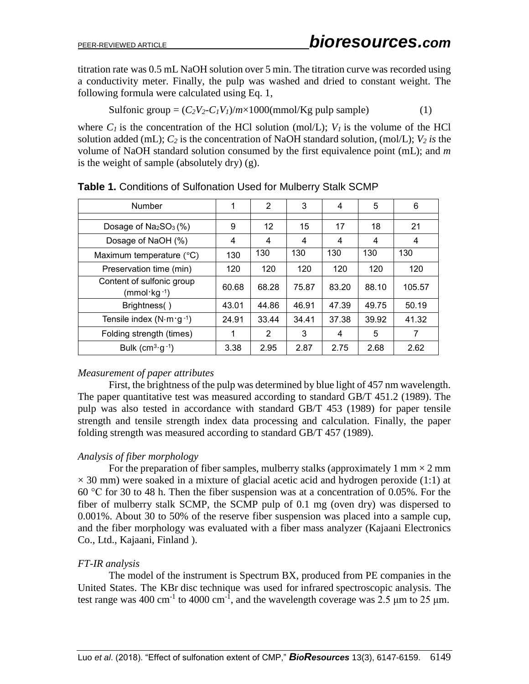titratio[n rate](file:///C:/Users/pc6/AppData/Local/youdao/dict/Application/7.5.2.0/resultui/dict/) was 0.5 mL NaOH solution over 5 min. The titration curve was recorded using a conductivity meter. Finally, the pulp was washed and dried to constant weight. The following formula were calculated using Eq. 1,

Sulfonic group = 
$$
(C_2V_2-C_1V_1)/m \times 1000 \text{(mmol/Kg pulp sample)}
$$
 (1)

where  $C_I$  is the concentration of the HCl solution (mol/L);  $V_I$  is the volume of the HCl solution added (mL); *C<sup>2</sup>* is the concentration of NaOH standard solution, (mol/L); *V<sup>2</sup> is* the volume of NaOH standard solution consumed by the first equivalence point (mL); and *m* is the weight of sample (absolutely dry) (g).

| Number                                                | 1     | 2     | 3     | 4     | 5     | 6      |
|-------------------------------------------------------|-------|-------|-------|-------|-------|--------|
|                                                       |       |       |       |       |       |        |
| Dosage of $Na2SO3(%)$                                 | 9     | 12    | 15    | 17    | 18    | 21     |
| Dosage of NaOH (%)                                    | 4     | 4     | 4     | 4     | 4     | 4      |
| Maximum temperature $(^{\circ}C)$                     | 130   | 130   | 130   | 130   | 130   | 130    |
| Preservation time (min)                               | 120   | 120   | 120   | 120   | 120   | 120    |
| Content of sulfonic group<br>(mmol·kg <sup>-1</sup> ) | 60.68 | 68.28 | 75.87 | 83.20 | 88.10 | 105.57 |
| Brightness()                                          | 43.01 | 44.86 | 46.91 | 47.39 | 49.75 | 50.19  |
| Tensile index $(N \cdot m \cdot g^{-1})$              | 24.91 | 33.44 | 34.41 | 37.38 | 39.92 | 41.32  |
| Folding strength (times)                              | 1     | 2     | 3     | 4     | 5     | 7      |
| Bulk $(cm3·g-1)$                                      | 3.38  | 2.95  | 2.87  | 2.75  | 2.68  | 2.62   |

**Table 1.** Conditions of Sulfonation Used for Mulberry Stalk SCMP

### *Measurement of paper attributes*

First, the brightness of the pulp was determined by blue light of 457 nm wavelength. The paper quantitative test was measured according to standard GB/T 451.2 (1989). The pulp was also tested in accordance with standard GB/T 453 (1989) for paper tensile strength and tensile strength index data processing and calculation. Finally, the paper folding strength was measured according to standard GB/T 457 (1989).

### *Analysis of fiber morphology*

For the preparation of fiber samples, mulberry stalks (approximately 1 mm  $\times$  2 mm  $\times$  30 mm) were soaked in a mixture of glacial acetic acid and hydrogen peroxide (1:1) at 60 °C for 30 to 48 h. Then the fiber suspension was at a concentration of 0.05%. For the fiber of mulberry stalk SCMP, the SCMP pulp of 0.1 mg (oven dry) was dispersed to 0.001%. About 30 to 50% of the reserve fiber suspension was placed into a sample cup, and the fiber morphology was evaluated with a fiber mass analyzer (Kajaani Electronics Co., Ltd., Kajaani, Finland ).

### *FT-IR analysis*

The model of the instrument is Spectrum BX, produced from PE companies in the United States. The KBr disc technique was used for infrared spectroscopic analysis. The test range was 400 cm<sup>-1</sup> to 4000 cm<sup>-1</sup>, and the wavelength coverage was 2.5  $\mu$ m to 25  $\mu$ m.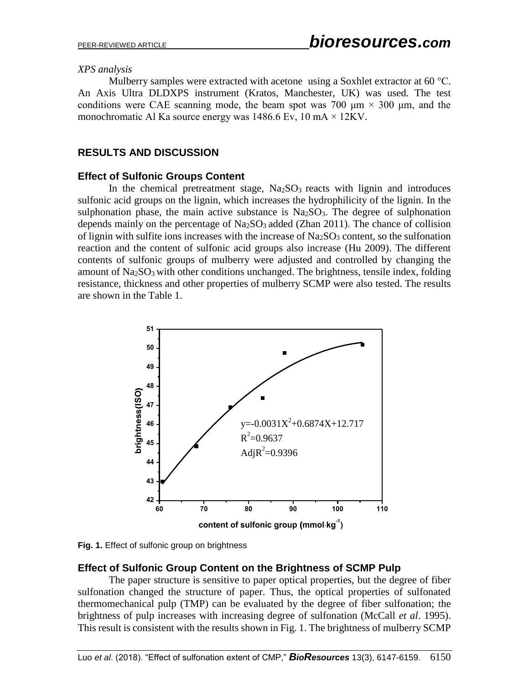#### *XPS analysis*

Mulberry samples were extracted with acetone using a Soxhlet extractor at 60 °C. An Axis Ultra DLDXPS instrument (Kratos, Manchester, UK) was used. The test conditions were CAE scanning mode, the beam spot was 700  $\mu$ m  $\times$  300  $\mu$ m, and the monochromatic Al Ka source energy was 1486.6 Ev, 10 mA  $\times$  12KV.

## **RESULTS AND DISCUSSION**

### **Effect of Sulfonic Groups Content**

In the chemical pretreatment stage,  $Na<sub>2</sub>SO<sub>3</sub>$  reacts with lignin and introduces sulfonic acid groups on the lignin, which increases the hydrophilicity of the lignin. In the sulphonation phase, the main active substance is  $Na<sub>2</sub>SO<sub>3</sub>$ . The degree of sulphonation depends mainly on the percentage of  $Na<sub>2</sub>SO<sub>3</sub>$  added (Zhan 2011). The chance of collision of lignin with sulfite ions increases with the increase of  $Na<sub>2</sub>SO<sub>3</sub>$  content, so the sulfonation reaction and the content of sulfonic acid groups also increase (Hu 2009). The different contents of sulfonic groups of mulberry were adjusted and controlled by changing the amount of Na<sub>2</sub>SO<sub>3</sub> with other conditions unchanged. The brightness, tensile index, folding resistance, thickness and other properties of mulberry SCMP were also tested. The results are shown in the Table 1.



**Fig. 1.** Effect of sulfonic group on brightness

### **Effect of Sulfonic Group Content on the Brightness of SCMP Pulp**

The paper structure is sensitive to paper optical properties, but the degree of fiber sulfonation changed the structure of paper. Thus, the optical properties of sulfonated thermomechanical pulp (TMP) can be evaluated by the degree of fiber sulfonation; the brightness of pulp increases with increasing degree of sulfonation (McCall *et al*. 1995). This result is consistent with the results shown in Fig. 1. The brightness of mulberry SCMP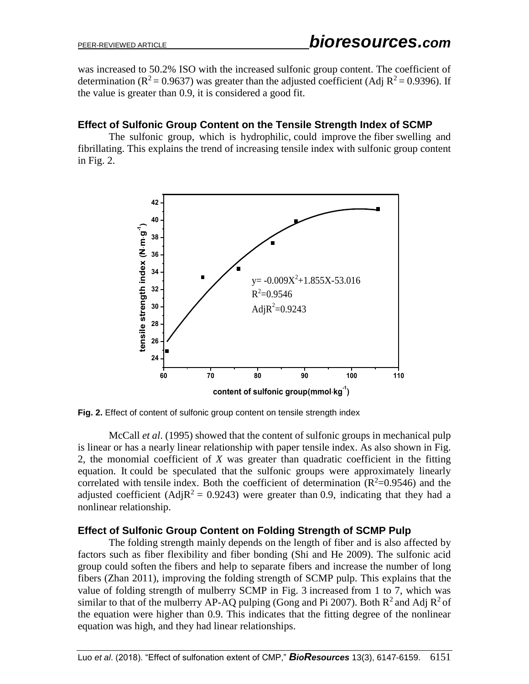was increased to 50.2% ISO with the increased sulfonic group content. The coefficient of determination ( $R^2$  = 0.9637) was greater than the adjusted coefficient (Adj  $R^2$  = 0.9396). If the value is greater than 0.9, it is considered a good fit.

### **Effect of Sulfonic Group Content on the Tensile Strength Index of SCMP**

The sulfonic group, which is hydrophilic, could improve the fiber swelling and fibrillating. This explains the trend of increasing tensile index with sulfonic group content in Fig. 2.



**Fig. 2.** Effect of content of sulfonic group content on tensile strength index

McCall *et al*. (1995) showed that the content of sulfonic groups in mechanical pulp is linear or has a nearly linear relationship with paper tensile index. As also shown in Fig. 2, the monomial coefficient of *X* was greater than quadratic coefficient in the fitting equation. It could be speculated that the sulfonic groups were approximately linearly correlated with tensile index. Both the coefficient of determination  $(R^2=0.9546)$  and the adjusted coefficient (Adj $R^2 = 0.9243$ ) were greater than 0.9, indicating that they had a nonlinear relationship.

### **Effect of Sulfonic Group Content on Folding Strength of SCMP Pulp**

The folding strength mainly depends on the length of fiber and is also affected by factors such as fiber flexibility and fiber bonding (Shi and He 2009). The sulfonic acid group could soften the fibers and help to separate fibers and increase the number of long fibers (Zhan 2011), improving the folding strength of SCMP pulp. This explains that the value of folding strength of mulberry SCMP in Fig. 3 increased from 1 to 7, which was similar to that of the mulberry AP-AQ pulping (Gong and Pi 2007). Both  $R^2$  and Adj  $R^2$  of the equation were higher than 0.9. This indicates that the fitting degree of the nonlinear equation was high, and they had linear relationships.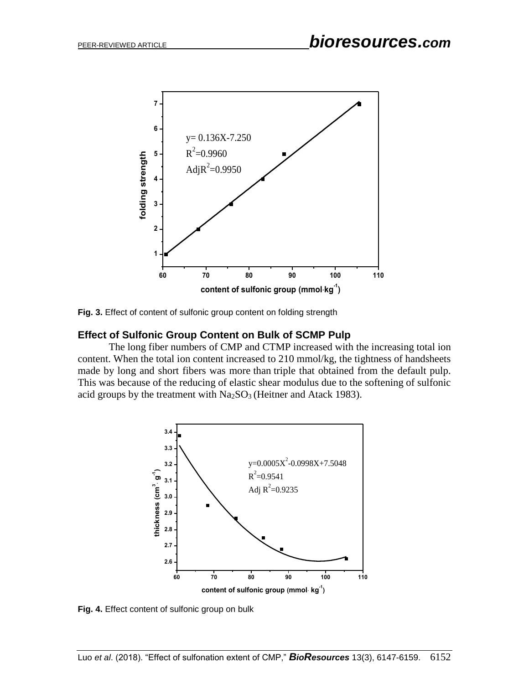

**Fig. 3.** Effect of content of sulfonic group content on folding strength

### **Effect of Sulfonic Group Content on Bulk of SCMP Pulp**

The long fiber numbers of CMP and CTMP increased with the increasing total ion content. When the total ion content increased to 210 mmol/kg, the tightness of handsheets made by long and short fibers was more than triple that obtained from the default pulp. This was because of the reducing of elastic shear modulus due to the softening of sulfonic acid groups by the treatment with  $Na<sub>2</sub>SO<sub>3</sub>$  (Heitner and Atack 1983).



**Fig. 4.** Effect content of sulfonic group on bulk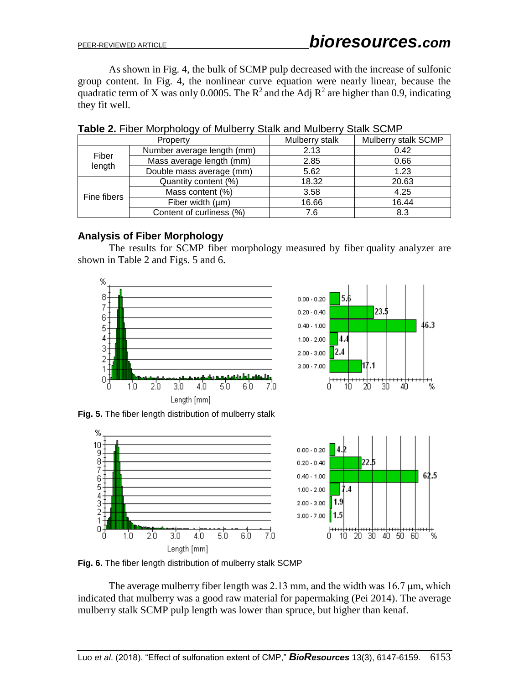As shown in Fig. 4, the bulk of SCMP pulp decreased with the increase of sulfonic group content. In Fig. 4, the nonlinear curve equation were nearly linear, because the quadratic term of X was only 0.0005. The  $R^2$  and the Adj  $R^2$  are higher than 0.9, indicating they fit well.

|                 | Property                   | Mulberry stalk | Mulberry stalk SCMP |
|-----------------|----------------------------|----------------|---------------------|
| Fiber<br>length | Number average length (mm) | 2.13           | 0.42                |
|                 | Mass average length (mm)   | 2.85           | 0.66                |
|                 | Double mass average (mm)   | 5.62           | 1.23                |
| Fine fibers     | Quantity content (%)       | 18.32          | 20.63               |
|                 | Mass content (%)           | 3.58           | 4.25                |
|                 | Fiber width $(\mu m)$      | 16.66          | 16.44               |
|                 | Content of curliness (%)   | 7.6            | 8.3                 |

**Table 2.** Fiber Morphology of Mulberry Stalk and Mulberry Stalk SCMP

### **Analysis of Fiber Morphology**

The results for SCMP fiber morphology measured by fiber quality analyzer are shown in Table 2 and Figs. 5 and 6.

% 8 7 6 5 4 3 2 1 0  $1.0$  $3.0<sub>1</sub>$ Ö  $2.0$  $4.0$ 5.0 6.0 7.0 Length [mm]

**Fig. 5.** The fiber length distribution of mulberry stalk



**Fig. 6.** The fiber length distribution of mulberry stalk SCMP

The average mulberry fiber length was 2.13 mm, and the width was 16.7 μm, which indicated that mulberry was a good raw material for papermaking (Pei 2014). The average mulberry stalk SCMP pulp length was lower than spruce, but higher than kenaf.



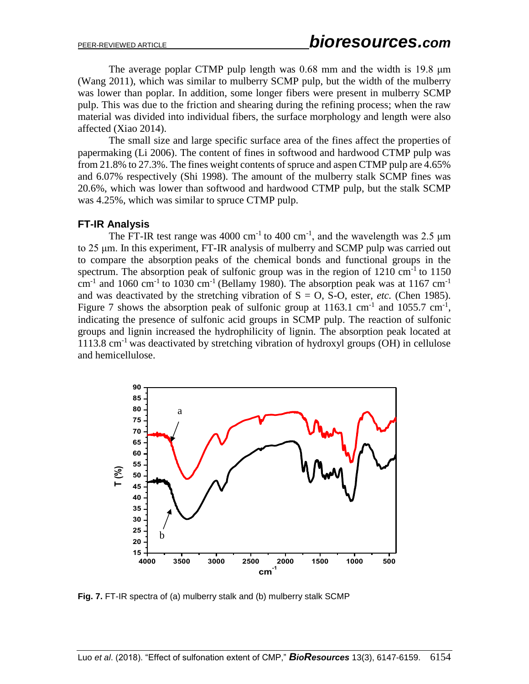The average poplar CTMP pulp length was 0.68 mm and the width is 19.8 μm (Wang 2011), which was similar to mulberry SCMP pulp, but the width of the mulberry was lower than poplar. In addition, some longer fibers were present in mulberry SCMP pulp. This was due to the friction and shearing during the refining process; when the raw material was divided into individual fibers, the surface morphology and length were also affected (Xiao 2014).

The small size and large specific surface area of the fines affect the properties of papermaking (Li 2006). The content of fines in softwood and hardwood CTMP pulp was from 21.8% to 27.3%. The fines weight contents of spruce and aspen CTMP pulp are 4.65% and 6.07% respectively (Shi 1998). The amount of the mulberry stalk SCMP fines was 20.6%, which was lower than softwood and hardwood CTMP pulp, but the stalk SCMP was 4.25%, which was similar to spruce CTMP pulp.

# **FT-IR Analysis**

The FT-IR test range was 4000 cm<sup>-1</sup> to 400 cm<sup>-1</sup>, and the wavelength was 2.5  $\mu$ m to 25 μm. In this experiment, FT-IR analysis of mulberry and SCMP pulp was carried out to compare the absorption peaks of the chemical bonds and functional groups in the spectrum. The absorption peak of sulfonic group was in the region of  $1210 \text{ cm}^{-1}$  to  $1150$ cm<sup>-1</sup> and 1060 cm<sup>-1</sup> to 1030 cm<sup>-1</sup> (Bellamy 1980). The absorption peak was at 1167 cm<sup>-1</sup> and was deactivated by the stretching vibration of  $S = O$ , S-O, ester, *etc.* (Chen 1985). Figure 7 shows the absorption peak of sulfonic group at  $1163.1 \text{ cm}^{-1}$  and  $1055.7 \text{ cm}^{-1}$ , indicating the presence of sulfonic acid groups in SCMP pulp. The reaction of sulfonic groups and lignin increased the hydrophilicity of lignin. The absorption peak located at 1113.8 cm<sup>-1</sup> was deactivated by stretching vibration of hydroxyl groups  $(OH)$  in cellulose and hemicellulose.



**Fig. 7.** FT-IR spectra of (a) mulberry stalk and (b) mulberry stalk SCMP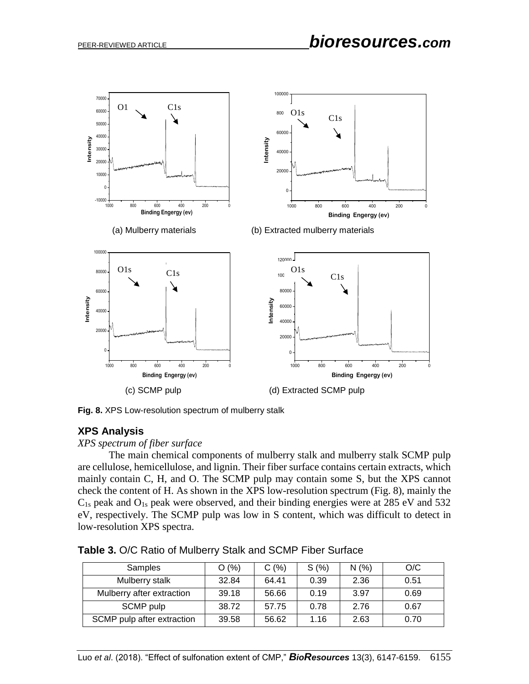

**Fig. 8.** XPS Low-resolution spectrum of mulberry stalk

#### **XPS Analysis**

*XPS spectrum of fiber surface*

The main chemical components of mulberry stalk and mulberry stalk SCMP pulp are cellulose, hemicellulose, and lignin. Their fiber surface contains certain extracts, which mainly contain C, H, and O. The SCMP pulp may contain some S, but the XPS cannot check the content of H. As shown in the XPS low-resolution spectrum (Fig. 8), mainly the  $C_{1s}$  peak and  $O_{1s}$  peak were observed, and their binding energies were at 285 eV and 532 eV, respectively. The SCMP pulp was low in S content, which was difficult to detect in low-resolution XPS spectra.

| Samples                    | O(%)  | C(%)  | S(%) | N(%  | O/C  |
|----------------------------|-------|-------|------|------|------|
| Mulberry stalk             | 32.84 | 64.41 | 0.39 | 2.36 | 0.51 |
| Mulberry after extraction  | 39.18 | 56.66 | 0.19 | 3.97 | 0.69 |
| SCMP pulp                  | 38.72 | 57.75 | 0.78 | 2.76 | 0.67 |
| SCMP pulp after extraction | 39.58 | 56.62 | 1.16 | 2.63 | 0.70 |

**Table 3.** O/C Ratio of Mulberry Stalk and SCMP Fiber Surface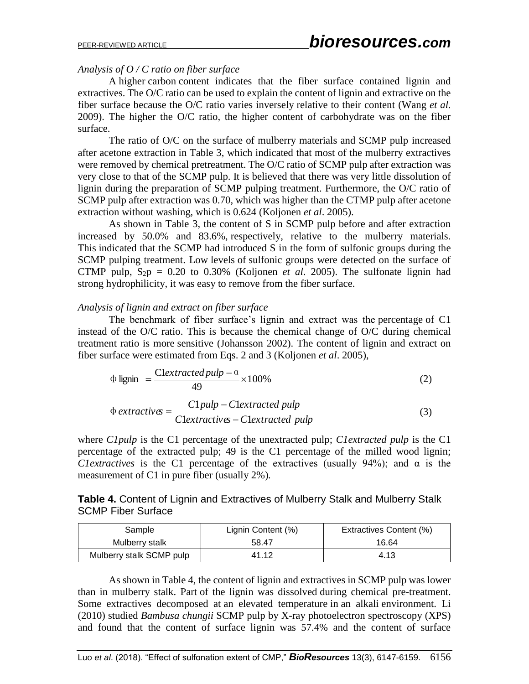#### *Analysis of O / C ratio on fiber surface*

A higher carbon content indicates that the fiber surface contained lignin and extractives. The O/C ratio can be used to explain the content of lignin and extractive on the fiber surface because the O/C ratio varies inversely relative to their content (Wang *et al.* 2009). The higher the O/C ratio, the higher content of carbohydrate was on the fiber surface.

The ratio of O/C on the surface of mulberry materials and SCMP pulp increased after acetone extraction in Table 3, which indicated that most of the mulberry extractives were removed by chemical pretreatment. The O/C ratio of SCMP pulp after extraction was very close to that of the SCMP pulp. It is believed that there was very little dissolution of lignin during the preparation of SCMP pulping treatment. Furthermore, the O/C ratio of SCMP pulp after extraction was 0.70, which was higher than the CTMP pulp after acetone extraction without washing, which is 0.624 (Koljonen *et al*. 2005).

As shown in Table 3, the content of S in SCMP pulp before and after extraction increased by 50.0% and 83.6%, respectively, relative to the mulberry materials. This indicated that the SCMP had introduced S in the form of sulfonic groups during the SCMP pulping treatment. Low levels of sulfonic groups were detected on the surface of CTMP pulp,  $S_{2}p = 0.20$  to 0.30% (Koljonen *et al.* 2005). The sulfonate lignin had strong hydrophilicity, it was easy to remove from the fiber surface.

#### *Analysis of lignin and extract on fiber surface*

The benchmark of fiber surface's lignin and extract was the percentage of C1 instead of the O/C ratio. This is because the chemical change of O/C during chemical treatment ratio is more sensitive (Johansson 2002). The content of lignin and extract on fiber surface were estimated from Eqs. 2 and 3 (Koljonen *et al*. 2005),

$$
\Phi \text{ lignin} = \frac{\text{Cleartracted pull} - \alpha}{49} \times 100\% \tag{2}
$$

$$
\Phi \text{ extractive} = \frac{C1 \text{pulp} - \text{Clextracted pub}}{\text{Clextractive} - \text{Clextracted pub}}
$$
\n(3)

where *C1pulp* is the C1 percentage of the unextracted pulp; *C1extracted pulp* is the C1 percentage of the extracted pulp; 49 is the C1 percentage of the milled wood lignin; *C1extractives* is the C1 percentage of the extractives (usually 94%); and  $\alpha$  is the measurement of C1 in pure fiber (usually 2%)*.*

**Table 4.** Content of Lignin and Extractives of Mulberry Stalk and Mulberry Stalk SCMP Fiber Surface

| Sample                   | Lignin Content (%) | Extractives Content (%) |
|--------------------------|--------------------|-------------------------|
| Mulberry stalk           | 58.47              | 16.64                   |
| Mulberry stalk SCMP pulp | 41.12              | 4.13                    |

As shown in Table 4, the content of lignin and extractives in SCMP pulp was lower than in mulberry stalk. Part of the lignin was dissolved during chemical pre-treatment. Some extractives decomposed at an elevated temperature in an alkali environment. Li (2010) studied *Bambusa chungii* SCMP pulp by X-ray photoelectron spectroscopy (XPS) and found that the content of surface lignin was 57.4% and the content of surface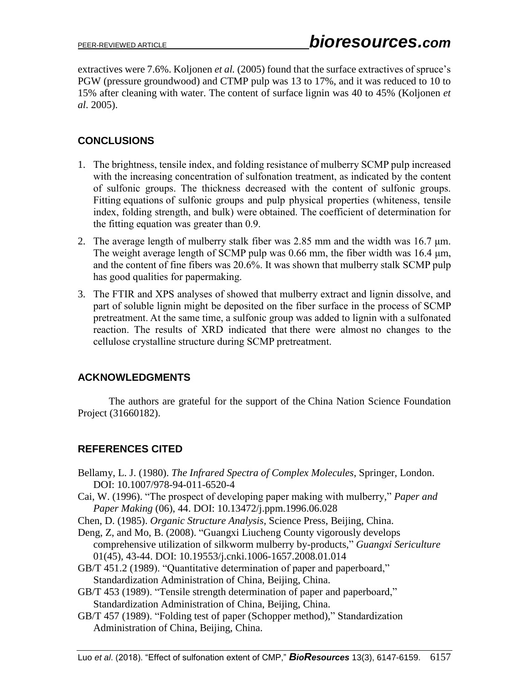extractives were 7.6%. Koljonen *et al.* (2005) found that the surface extractives of spruce's PGW (pressure groundwood) and CTMP pulp was 13 to 17%, and it was reduced to 10 to 15% after cleaning with water. The content of surface lignin was 40 to 45% (Koljonen *et al*. 2005).

# **CONCLUSIONS**

- 1. The brightness, tensile index, and folding resistance of mulberry SCMP pulp increased with the increasing concentration of sulfonation treatment, as indicated by the content of sulfonic groups. The thickness decreased with the content of sulfonic groups. Fitting equations of sulfonic groups and pulp physical properties (whiteness, tensile index, folding strength, and bulk) were obtained. The coefficient of determination for the fitting equation was greater than 0.9.
- 2. The average length of mulberry stalk fiber was 2.85 mm and the width was 16.7 μm. The weight average length of SCMP pulp was 0.66 mm, the fiber width was 16.4 μm, and the content of fine fibers was 20.6%. It was shown that mulberry stalk SCMP pulp has good qualities for papermaking.
- 3. The FTIR and XPS analyses of showed that mulberry extract and lignin dissolve, and part of soluble lignin might be deposited on the fiber surface in the process of SCMP pretreatment. At the same time, a sulfonic group was added to lignin with a sulfonated reaction. The results of XRD indicated that there were almost no changes to the cellulose crystalline structure during SCMP pretreatment.

# **ACKNOWLEDGMENTS**

The authors are grateful for the support of the China Nation Science Foundation Project (31660182).

# **REFERENCES CITED**

- Bellamy, L. J. (1980). *The Infrared Spectra of Complex Molecules*, Springer, London. DOI: 10.1007/978-94-011-6520-4
- Cai, W. (1996). "The prospect of developing paper making with mulberry," *Paper and Paper Making* (06), 44. DOI: 10.13472/j.ppm.1996.06.028
- Chen, D. (1985). *Organic Structure Analysis*, Science Press, Beijing, China.
- Deng, Z, and Mo, B. (2008). "Guangxi Liucheng County vigorously develops comprehensive utilization of silkworm mulberry by-products," *Guangxi Sericulture* 01(45), 43-44. DOI: 10.19553/j.cnki.1006-1657.2008.01.014
- GB/T 451.2 (1989). "Quantitative determination of paper and paperboard," Standardization Administration of China, Beijing, China.
- GB/T 453 (1989). "Tensile strength determination of paper and paperboard," Standardization Administration of China, Beijing, China.
- GB/T 457 (1989). "Folding test of paper (Schopper method)," Standardization Administration of China, Beijing, China.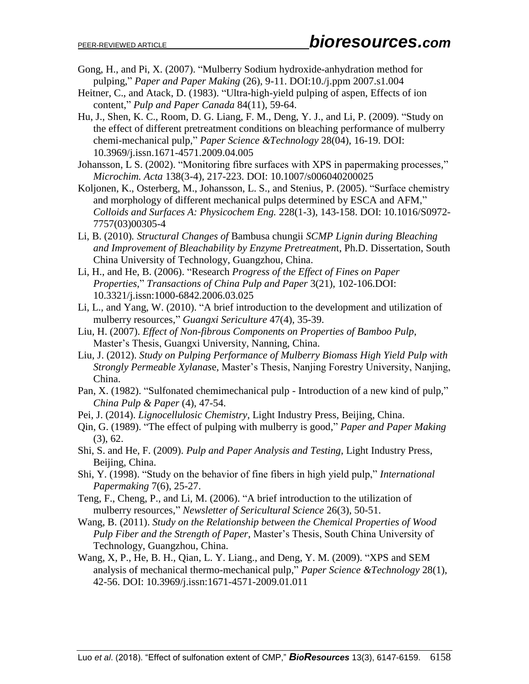- Gong, H., and Pi, X. (2007). "Mulberry Sodium hydroxide-anhydration method for pulping," *Paper and Paper Making* (26), 9-11. DOI:10./j.ppm 2007.s1.004
- Heitner, C., and Atack, D. (1983). "Ultra-high-yield pulping of aspen, Effects of ion content," *Pulp and Paper Canada* 84(11), 59-64.
- Hu, J., Shen, K. C., Room, D. G. Liang, F. M., Deng, Y. J., and Li, P. (2009). "Study on the effect of different pretreatment conditions on bleaching performance of mulberry chemi-mechanical pulp," *Paper Science &Technology* 28(04), 16-19. DOI: 10.3969/j.issn.1671-4571.2009.04.005
- Johansson, L S. (2002). "Monitoring fibre surfaces with XPS in papermaking processes," *Microchim. Acta* 138(3-4), 217-223. DOI: 10.1007/s006040200025
- Koljonen, K., Osterberg, M., Johansson, L. S., and Stenius, P. (2005). "Surface chemistry and morphology of different mechanical pulps determined by ESCA and AFM," *Colloids and Surfaces A: Physicochem Eng.* 228(1-3), 143-158. DOI: 10.1016/S0972- 7757(03)00305-4
- Li, B. (2010)*. Structural Changes of* Bambusa chungii *SCMP Lignin during Bleaching and Improvement of Bleachability by Enzyme Pretreatmen*t, Ph.D. Dissertation, South China University of Technology, Guangzhou, China.
- Li, H., and He, B. (2006). "Research *Progress of the Effect of Fines on Paper Properties*," *Transactions of China Pulp and Paper* 3(21), 102-106.DOI: 10.3321/j.issn:1000-6842.2006.03.025
- Li, L., and Yang, W. (2010). "A brief introduction to the development and utilization of mulberry resources," *Guangxi Sericulture* 47(4), 35-39.
- Liu, H. (2007). *Effect of Non-fibrous Components on Properties of Bamboo Pulp*, Master's Thesis, Guangxi University, Nanning, China.
- Liu, J. (2012). *Study on Pulping Performance of Mulberry Biomass High Yield Pulp with Strongly Permeable Xylanas*e, Master's Thesis, Nanjing Forestry University, Nanjing, China.
- Pan, X. (1982). "Sulfonated chemimechanical pulp Introduction of a new kind of pulp," *China Pulp & Paper* (4), 47-54.
- Pei, J. (2014). *Lignocellulosic Chemistry*, Light Industry Press, Beijing, China.
- Qin, G. (1989). "The effect of pulping with mulberry is good," *Paper and Paper Making* (3), 62.
- Shi, S. and He, F. (2009). *Pulp and Paper Analysis and Testing*, Light Industry Press, Beijing, China.
- Shi, Y. (1998). "Study on the behavior of fine fibers in high yield pulp," *International Papermaking* 7(6), 25-27.
- Teng, F., Cheng, P., and Li, M. (2006). "A brief introduction to the utilization of mulberry resources," *Newsletter of Sericultural Science* 26(3), 50-51.
- Wang, B. (2011). *Study on the Relationship between the Chemical Properties of Wood Pulp Fiber and the Strength of Paper*, Master's Thesis, South China University of Technology, Guangzhou, China.
- Wang, X, P., He, B. H., Qian, L. Y. Liang., and Deng, Y. M. (2009). "XPS and SEM analysis of mechanical thermo-mechanical pulp," *Paper Science &Technology* 28(1), 42-56. DOI: 10.3969/j.issn:1671-4571-2009.01.011